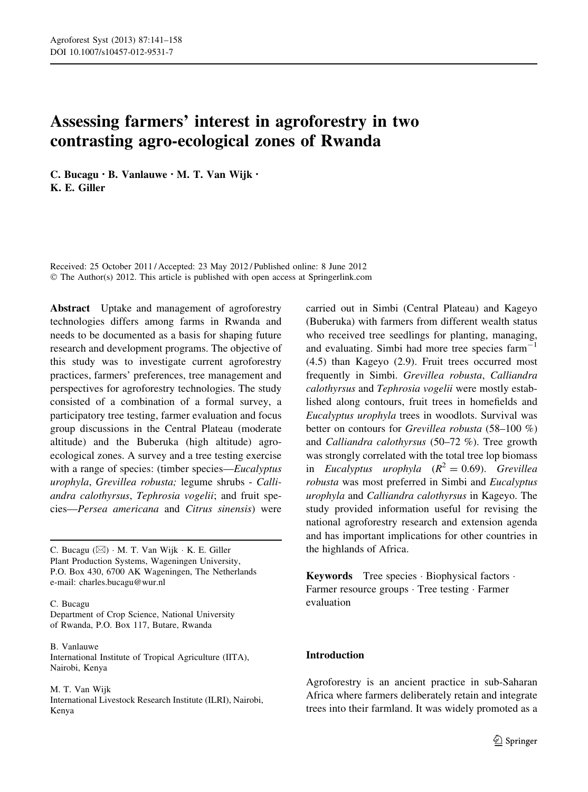# Assessing farmers' interest in agroforestry in two contrasting agro-ecological zones of Rwanda

C. Bucagu • B. Vanlauwe • M. T. Van Wijk • K. E. Giller

Received: 25 October 2011 / Accepted: 23 May 2012 / Published online: 8 June 2012 © The Author(s) 2012. This article is published with open access at Springerlink.com

Abstract Uptake and management of agroforestry technologies differs among farms in Rwanda and needs to be documented as a basis for shaping future research and development programs. The objective of this study was to investigate current agroforestry practices, farmers' preferences, tree management and perspectives for agroforestry technologies. The study consisted of a combination of a formal survey, a participatory tree testing, farmer evaluation and focus group discussions in the Central Plateau (moderate altitude) and the Buberuka (high altitude) agroecological zones. A survey and a tree testing exercise with a range of species: (timber species—Eucalyptus urophyla, Grevillea robusta; legume shrubs - Calliandra calothyrsus, Tephrosia vogelii; and fruit species—Persea americana and Citrus sinensis) were

C. Bucagu  $(\boxtimes)$   $\cdot$  M. T. Van Wijk  $\cdot$  K. E. Giller Plant Production Systems, Wageningen University, P.O. Box 430, 6700 AK Wageningen, The Netherlands e-mail: charles.bucagu@wur.nl

C. Bucagu

Department of Crop Science, National University of Rwanda, P.O. Box 117, Butare, Rwanda

B. Vanlauwe International Institute of Tropical Agriculture (IITA), Nairobi, Kenya

#### M. T. Van Wijk International Livestock Research Institute (ILRI), Nairobi, Kenya

carried out in Simbi (Central Plateau) and Kageyo (Buberuka) with farmers from different wealth status who received tree seedlings for planting, managing, and evaluating. Simbi had more tree species  $farm^{-1}$ (4.5) than Kageyo (2.9). Fruit trees occurred most frequently in Simbi. Grevillea robusta, Calliandra calothyrsus and Tephrosia vogelii were mostly established along contours, fruit trees in homefields and Eucalyptus urophyla trees in woodlots. Survival was better on contours for Grevillea robusta (58–100 %) and Calliandra calothyrsus (50–72 %). Tree growth was strongly correlated with the total tree lop biomass in Eucalyptus urophyla  $(R^2 = 0.69)$ . Grevillea robusta was most preferred in Simbi and Eucalyptus urophyla and Calliandra calothyrsus in Kageyo. The study provided information useful for revising the national agroforestry research and extension agenda and has important implications for other countries in the highlands of Africa.

Keywords Tree species - Biophysical factors - Farmer resource groups · Tree testing · Farmer evaluation

# Introduction

Agroforestry is an ancient practice in sub-Saharan Africa where farmers deliberately retain and integrate trees into their farmland. It was widely promoted as a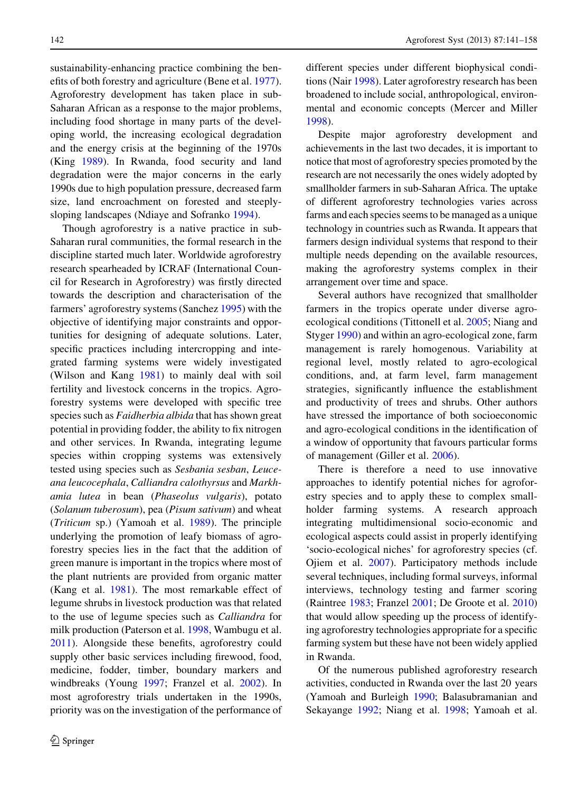sustainability-enhancing practice combining the benefits of both forestry and agriculture (Bene et al. [1977](#page-16-0)). Agroforestry development has taken place in sub-Saharan African as a response to the major problems, including food shortage in many parts of the developing world, the increasing ecological degradation and the energy crisis at the beginning of the 1970s (King [1989\)](#page-16-0). In Rwanda, food security and land degradation were the major concerns in the early 1990s due to high population pressure, decreased farm size, land encroachment on forested and steeplysloping landscapes (Ndiaye and Sofranko [1994\)](#page-16-0).

Though agroforestry is a native practice in sub-Saharan rural communities, the formal research in the discipline started much later. Worldwide agroforestry research spearheaded by ICRAF (International Council for Research in Agroforestry) was firstly directed towards the description and characterisation of the farmers' agroforestry systems (Sanchez [1995](#page-17-0)) with the objective of identifying major constraints and opportunities for designing of adequate solutions. Later, specific practices including intercropping and integrated farming systems were widely investigated (Wilson and Kang [1981\)](#page-17-0) to mainly deal with soil fertility and livestock concerns in the tropics. Agroforestry systems were developed with specific tree species such as Faidherbia albida that has shown great potential in providing fodder, the ability to fix nitrogen and other services. In Rwanda, integrating legume species within cropping systems was extensively tested using species such as Sesbania sesban, Leuceana leucocephala, Calliandra calothyrsus and Markhamia lutea in bean (Phaseolus vulgaris), potato (Solanum tuberosum), pea (Pisum sativum) and wheat (Triticum sp.) (Yamoah et al. [1989](#page-17-0)). The principle underlying the promotion of leafy biomass of agroforestry species lies in the fact that the addition of green manure is important in the tropics where most of the plant nutrients are provided from organic matter (Kang et al. [1981](#page-16-0)). The most remarkable effect of legume shrubs in livestock production was that related to the use of legume species such as Calliandra for milk production (Paterson et al. [1998](#page-17-0), Wambugu et al. [2011\)](#page-17-0). Alongside these benefits, agroforestry could supply other basic services including firewood, food, medicine, fodder, timber, boundary markers and windbreaks (Young [1997](#page-17-0); Franzel et al. [2002](#page-16-0)). In most agroforestry trials undertaken in the 1990s, priority was on the investigation of the performance of different species under different biophysical conditions (Nair [1998](#page-16-0)). Later agroforestry research has been broadened to include social, anthropological, environmental and economic concepts (Mercer and Miller [1998\)](#page-16-0).

Despite major agroforestry development and achievements in the last two decades, it is important to notice that most of agroforestry species promoted by the research are not necessarily the ones widely adopted by smallholder farmers in sub-Saharan Africa. The uptake of different agroforestry technologies varies across farms and each species seems to be managed as a unique technology in countries such as Rwanda. It appears that farmers design individual systems that respond to their multiple needs depending on the available resources, making the agroforestry systems complex in their arrangement over time and space.

Several authors have recognized that smallholder farmers in the tropics operate under diverse agroecological conditions (Tittonell et al. [2005](#page-17-0); Niang and Styger [1990\)](#page-17-0) and within an agro-ecological zone, farm management is rarely homogenous. Variability at regional level, mostly related to agro-ecological conditions, and, at farm level, farm management strategies, significantly influence the establishment and productivity of trees and shrubs. Other authors have stressed the importance of both socioeconomic and agro-ecological conditions in the identification of a window of opportunity that favours particular forms of management (Giller et al. [2006](#page-16-0)).

There is therefore a need to use innovative approaches to identify potential niches for agroforestry species and to apply these to complex smallholder farming systems. A research approach integrating multidimensional socio-economic and ecological aspects could assist in properly identifying 'socio-ecological niches' for agroforestry species (cf. Ojiem et al. [2007](#page-17-0)). Participatory methods include several techniques, including formal surveys, informal interviews, technology testing and farmer scoring (Raintree [1983](#page-17-0); Franzel [2001;](#page-16-0) De Groote et al. [2010\)](#page-16-0) that would allow speeding up the process of identifying agroforestry technologies appropriate for a specific farming system but these have not been widely applied in Rwanda.

Of the numerous published agroforestry research activities, conducted in Rwanda over the last 20 years (Yamoah and Burleigh [1990;](#page-17-0) Balasubramanian and Sekayange [1992](#page-16-0); Niang et al. [1998;](#page-17-0) Yamoah et al.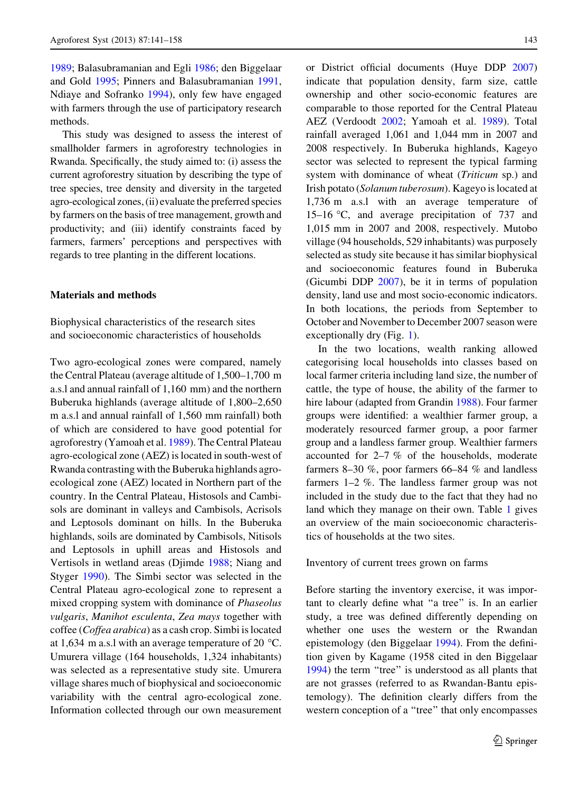[1989;](#page-17-0) Balasubramanian and Egli [1986;](#page-16-0) den Biggelaar and Gold [1995](#page-16-0); Pinners and Balasubramanian [1991,](#page-17-0) Ndiaye and Sofranko [1994](#page-16-0)), only few have engaged with farmers through the use of participatory research methods.

This study was designed to assess the interest of smallholder farmers in agroforestry technologies in Rwanda. Specifically, the study aimed to: (i) assess the current agroforestry situation by describing the type of tree species, tree density and diversity in the targeted agro-ecological zones, (ii) evaluate the preferred species by farmers on the basis of tree management, growth and productivity; and (iii) identify constraints faced by farmers, farmers' perceptions and perspectives with regards to tree planting in the different locations.

#### Materials and methods

Biophysical characteristics of the research sites and socioeconomic characteristics of households

Two agro-ecological zones were compared, namely the Central Plateau (average altitude of 1,500–1,700 m a.s.l and annual rainfall of 1,160 mm) and the northern Buberuka highlands (average altitude of 1,800–2,650 m a.s.l and annual rainfall of 1,560 mm rainfall) both of which are considered to have good potential for agroforestry (Yamoah et al. [1989\)](#page-17-0). The Central Plateau agro-ecological zone (AEZ) is located in south-west of Rwanda contrasting with the Buberuka highlands agroecological zone (AEZ) located in Northern part of the country. In the Central Plateau, Histosols and Cambisols are dominant in valleys and Cambisols, Acrisols and Leptosols dominant on hills. In the Buberuka highlands, soils are dominated by Cambisols, Nitisols and Leptosols in uphill areas and Histosols and Vertisols in wetland areas (Djimde [1988;](#page-16-0) Niang and Styger [1990\)](#page-17-0). The Simbi sector was selected in the Central Plateau agro-ecological zone to represent a mixed cropping system with dominance of Phaseolus vulgaris, Manihot esculenta, Zea mays together with coffee (Coffea arabica) as a cash crop. Simbi is located at 1,634 m a.s.l with an average temperature of 20  $^{\circ}$ C. Umurera village (164 households, 1,324 inhabitants) was selected as a representative study site. Umurera village shares much of biophysical and socioeconomic variability with the central agro-ecological zone. Information collected through our own measurement

or District official documents (Huye DDP [2007\)](#page-16-0) indicate that population density, farm size, cattle ownership and other socio-economic features are comparable to those reported for the Central Plateau AEZ (Verdoodt [2002](#page-17-0); Yamoah et al. [1989](#page-17-0)). Total rainfall averaged 1,061 and 1,044 mm in 2007 and 2008 respectively. In Buberuka highlands, Kageyo sector was selected to represent the typical farming system with dominance of wheat (Triticum sp.) and Irish potato (Solanum tuberosum). Kageyo is located at 1,736 m a.s.l with an average temperature of 15–16 C, and average precipitation of 737 and 1,015 mm in 2007 and 2008, respectively. Mutobo village (94 households, 529 inhabitants) was purposely selected as study site because it has similar biophysical and socioeconomic features found in Buberuka (Gicumbi DDP [2007\)](#page-16-0), be it in terms of population density, land use and most socio-economic indicators. In both locations, the periods from September to October and November to December 2007 season were exceptionally dry (Fig. [1\)](#page-3-0).

In the two locations, wealth ranking allowed categorising local households into classes based on local farmer criteria including land size, the number of cattle, the type of house, the ability of the farmer to hire labour (adapted from Grandin [1988](#page-16-0)). Four farmer groups were identified: a wealthier farmer group, a moderately resourced farmer group, a poor farmer group and a landless farmer group. Wealthier farmers accounted for 2–7 % of the households, moderate farmers 8–30 %, poor farmers 66–84 % and landless farmers 1–2 %. The landless farmer group was not included in the study due to the fact that they had no land which they manage on their own. Table [1](#page-3-0) gives an overview of the main socioeconomic characteristics of households at the two sites.

Inventory of current trees grown on farms

Before starting the inventory exercise, it was important to clearly define what ''a tree'' is. In an earlier study, a tree was defined differently depending on whether one uses the western or the Rwandan epistemology (den Biggelaar [1994](#page-16-0)). From the definition given by Kagame (1958 cited in den Biggelaar [1994\)](#page-16-0) the term ''tree'' is understood as all plants that are not grasses (referred to as Rwandan-Bantu epistemology). The definition clearly differs from the western conception of a ''tree'' that only encompasses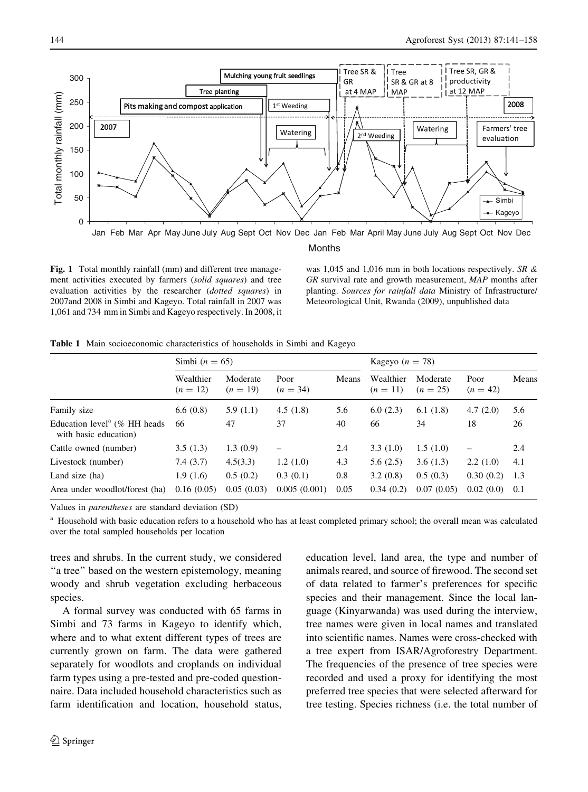<span id="page-3-0"></span>

Fig. 1 Total monthly rainfall (mm) and different tree management activities executed by farmers (solid squares) and tree evaluation activities by the researcher (dotted squares) in 2007and 2008 in Simbi and Kageyo. Total rainfall in 2007 was 1,061 and 734 mm in Simbi and Kageyo respectively. In 2008, it

was 1,045 and 1,016 mm in both locations respectively. SR & GR survival rate and growth measurement, MAP months after planting. Sources for rainfall data Ministry of Infrastructure/ Meteorological Unit, Rwanda (2009), unpublished data

Table 1 Main socioeconomic characteristics of households in Simbi and Kageyo

|                                                                      | Simbi $(n = 65)$        |                        |                          |       | Kageyo $(n = 78)$       |                        |                    |       |
|----------------------------------------------------------------------|-------------------------|------------------------|--------------------------|-------|-------------------------|------------------------|--------------------|-------|
|                                                                      | Wealthier<br>$(n = 12)$ | Moderate<br>$(n = 19)$ | Poor<br>$(n = 34)$       | Means | Wealthier<br>$(n = 11)$ | Moderate<br>$(n = 25)$ | Poor<br>$(n = 42)$ | Means |
| Family size                                                          | 6.6(0.8)                | 5.9(1.1)               | 4.5(1.8)                 | 5.6   | 6.0(2.3)                | 6.1(1.8)               | 4.7(2.0)           | 5.6   |
| Education level <sup>a</sup> ( $%$ HH heads<br>with basic education) | 66                      | 47                     | 37                       | 40    | 66                      | 34                     | 18                 | 26    |
| Cattle owned (number)                                                | 3.5(1.3)                | 1.3(0.9)               | $\overline{\phantom{0}}$ | 2.4   | 3.3(1.0)                | 1.5(1.0)               | -                  | 2.4   |
| Livestock (number)                                                   | 7.4(3.7)                | 4.5(3.3)               | 1.2(1.0)                 | 4.3   | 5.6(2.5)                | 3.6(1.3)               | 2.2(1.0)           | 4.1   |
| Land size (ha)                                                       | 1.9(1.6)                | 0.5(0.2)               | 0.3(0.1)                 | 0.8   | 3.2(0.8)                | 0.5(0.3)               | 0.30(0.2)          | 1.3   |
| Area under woodlot/forest (ha)                                       | 0.16(0.05)              | 0.05(0.03)             | 0.005(0.001)             | 0.05  | 0.34(0.2)               | 0.07(0.05)             | 0.02(0.0)          | 0.1   |

Values in parentheses are standard deviation (SD)

<sup>a</sup> Household with basic education refers to a household who has at least completed primary school; the overall mean was calculated over the total sampled households per location

trees and shrubs. In the current study, we considered ''a tree'' based on the western epistemology, meaning woody and shrub vegetation excluding herbaceous species.

A formal survey was conducted with 65 farms in Simbi and 73 farms in Kageyo to identify which, where and to what extent different types of trees are currently grown on farm. The data were gathered separately for woodlots and croplands on individual farm types using a pre-tested and pre-coded questionnaire. Data included household characteristics such as farm identification and location, household status,

education level, land area, the type and number of animals reared, and source of firewood. The second set of data related to farmer's preferences for specific species and their management. Since the local language (Kinyarwanda) was used during the interview, tree names were given in local names and translated into scientific names. Names were cross-checked with a tree expert from ISAR/Agroforestry Department. The frequencies of the presence of tree species were recorded and used a proxy for identifying the most preferred tree species that were selected afterward for tree testing. Species richness (i.e. the total number of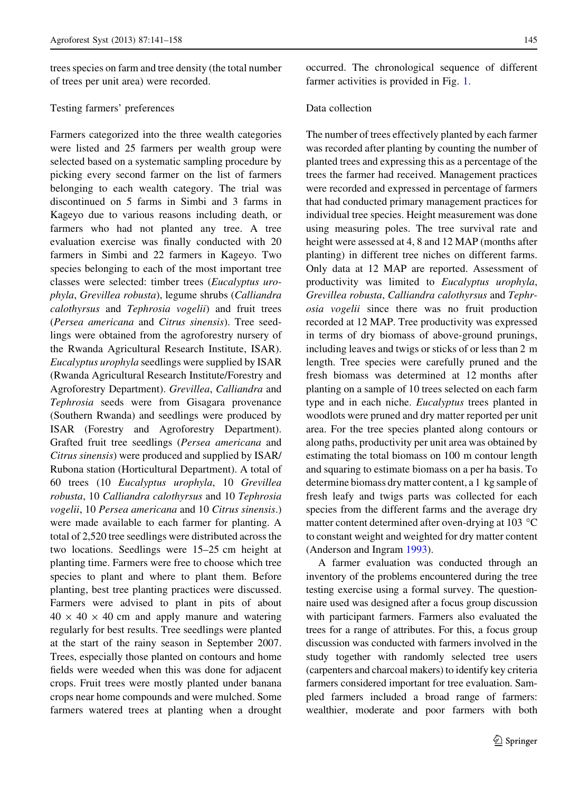trees species on farm and tree density (the total number of trees per unit area) were recorded.

#### Testing farmers' preferences

Farmers categorized into the three wealth categories were listed and 25 farmers per wealth group were selected based on a systematic sampling procedure by picking every second farmer on the list of farmers belonging to each wealth category. The trial was discontinued on 5 farms in Simbi and 3 farms in Kageyo due to various reasons including death, or farmers who had not planted any tree. A tree evaluation exercise was finally conducted with 20 farmers in Simbi and 22 farmers in Kageyo. Two species belonging to each of the most important tree classes were selected: timber trees (Eucalyptus urophyla, Grevillea robusta), legume shrubs (Calliandra calothyrsus and Tephrosia vogelii) and fruit trees (Persea americana and Citrus sinensis). Tree seedlings were obtained from the agroforestry nursery of the Rwanda Agricultural Research Institute, ISAR). Eucalyptus urophyla seedlings were supplied by ISAR (Rwanda Agricultural Research Institute/Forestry and Agroforestry Department). Grevillea, Calliandra and Tephrosia seeds were from Gisagara provenance (Southern Rwanda) and seedlings were produced by ISAR (Forestry and Agroforestry Department). Grafted fruit tree seedlings (Persea americana and Citrus sinensis) were produced and supplied by ISAR/ Rubona station (Horticultural Department). A total of 60 trees (10 Eucalyptus urophyla, 10 Grevillea robusta, 10 Calliandra calothyrsus and 10 Tephrosia vogelii, 10 Persea americana and 10 Citrus sinensis.) were made available to each farmer for planting. A total of 2,520 tree seedlings were distributed across the two locations. Seedlings were 15–25 cm height at planting time. Farmers were free to choose which tree species to plant and where to plant them. Before planting, best tree planting practices were discussed. Farmers were advised to plant in pits of about  $40 \times 40 \times 40$  cm and apply manure and watering regularly for best results. Tree seedlings were planted at the start of the rainy season in September 2007. Trees, especially those planted on contours and home fields were weeded when this was done for adjacent crops. Fruit trees were mostly planted under banana crops near home compounds and were mulched. Some farmers watered trees at planting when a drought

occurred. The chronological sequence of different farmer activities is provided in Fig. [1.](#page-3-0)

#### Data collection

The number of trees effectively planted by each farmer was recorded after planting by counting the number of planted trees and expressing this as a percentage of the trees the farmer had received. Management practices were recorded and expressed in percentage of farmers that had conducted primary management practices for individual tree species. Height measurement was done using measuring poles. The tree survival rate and height were assessed at 4, 8 and 12 MAP (months after planting) in different tree niches on different farms. Only data at 12 MAP are reported. Assessment of productivity was limited to Eucalyptus urophyla, Grevillea robusta, Calliandra calothyrsus and Tephrosia vogelii since there was no fruit production recorded at 12 MAP. Tree productivity was expressed in terms of dry biomass of above-ground prunings, including leaves and twigs or sticks of or less than 2 m length. Tree species were carefully pruned and the fresh biomass was determined at 12 months after planting on a sample of 10 trees selected on each farm type and in each niche. Eucalyptus trees planted in woodlots were pruned and dry matter reported per unit area. For the tree species planted along contours or along paths, productivity per unit area was obtained by estimating the total biomass on 100 m contour length and squaring to estimate biomass on a per ha basis. To determine biomass dry matter content, a 1 kg sample of fresh leafy and twigs parts was collected for each species from the different farms and the average dry matter content determined after oven-drying at 103  $^{\circ}$ C to constant weight and weighted for dry matter content (Anderson and Ingram [1993\)](#page-16-0).

A farmer evaluation was conducted through an inventory of the problems encountered during the tree testing exercise using a formal survey. The questionnaire used was designed after a focus group discussion with participant farmers. Farmers also evaluated the trees for a range of attributes. For this, a focus group discussion was conducted with farmers involved in the study together with randomly selected tree users (carpenters and charcoal makers) to identify key criteria farmers considered important for tree evaluation. Sampled farmers included a broad range of farmers: wealthier, moderate and poor farmers with both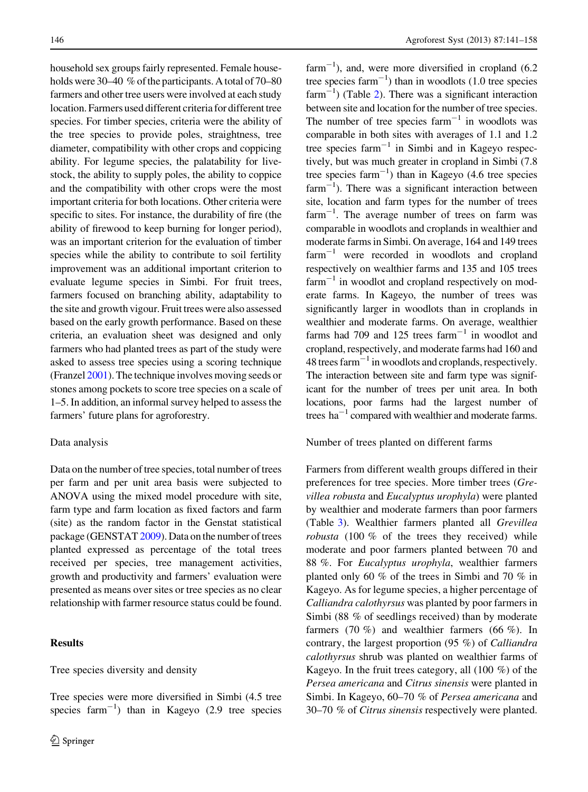household sex groups fairly represented. Female households were 30–40 % of the participants. A total of 70–80 farmers and other tree users were involved at each study location. Farmers used different criteria for different tree species. For timber species, criteria were the ability of the tree species to provide poles, straightness, tree diameter, compatibility with other crops and coppicing ability. For legume species, the palatability for livestock, the ability to supply poles, the ability to coppice and the compatibility with other crops were the most important criteria for both locations. Other criteria were specific to sites. For instance, the durability of fire (the ability of firewood to keep burning for longer period), was an important criterion for the evaluation of timber species while the ability to contribute to soil fertility improvement was an additional important criterion to evaluate legume species in Simbi. For fruit trees, farmers focused on branching ability, adaptability to the site and growth vigour. Fruit trees were also assessed based on the early growth performance. Based on these criteria, an evaluation sheet was designed and only farmers who had planted trees as part of the study were asked to assess tree species using a scoring technique (Franzel [2001\)](#page-16-0). The technique involves moving seeds or stones among pockets to score tree species on a scale of 1–5. In addition, an informal survey helped to assess the farmers' future plans for agroforestry.

#### Data analysis

Data on the number of tree species, total number of trees per farm and per unit area basis were subjected to ANOVA using the mixed model procedure with site, farm type and farm location as fixed factors and farm (site) as the random factor in the Genstat statistical package (GENSTAT [2009\)](#page-16-0). Data on the number of trees planted expressed as percentage of the total trees received per species, tree management activities, growth and productivity and farmers' evaluation were presented as means over sites or tree species as no clear relationship with farmer resource status could be found.

## Results

Tree species diversity and density

Tree species were more diversified in Simbi (4.5 tree species  $farm^{-1}$ ) than in Kageyo (2.9 tree species

 $\text{farm}^{-1}$ ), and, were more diversified in cropland (6.2) tree species  $\text{farm}^{-1}$ ) than in woodlots (1.0 tree species  $farm^{-1}$ ) (Table [2](#page-6-0)). There was a significant interaction between site and location for the number of tree species. The number of tree species  $farm^{-1}$  in woodlots was comparable in both sites with averages of 1.1 and 1.2 tree species  $farm^{-1}$  in Simbi and in Kageyo respectively, but was much greater in cropland in Simbi (7.8 tree species  $farm^{-1}$ ) than in Kageyo (4.6 tree species  $farm^{-1}$ ). There was a significant interaction between site, location and farm types for the number of trees  $farm^{-1}$ . The average number of trees on farm was comparable in woodlots and croplands in wealthier and moderate farms in Simbi. On average, 164 and 149 trees  $farm^{-1}$  were recorded in woodlots and cropland respectively on wealthier farms and 135 and 105 trees  $farm^{-1}$  in woodlot and cropland respectively on moderate farms. In Kageyo, the number of trees was significantly larger in woodlots than in croplands in wealthier and moderate farms. On average, wealthier farms had 709 and 125 trees  $farm^{-1}$  in woodlot and cropland, respectively, and moderate farms had 160 and  $48$  trees farm<sup>-1</sup> in woodlots and croplands, respectively. The interaction between site and farm type was significant for the number of trees per unit area. In both locations, poor farms had the largest number of trees  $ha^{-1}$  compared with wealthier and moderate farms.

#### Number of trees planted on different farms

Farmers from different wealth groups differed in their preferences for tree species. More timber trees (Grevillea robusta and Eucalyptus urophyla) were planted by wealthier and moderate farmers than poor farmers (Table [3](#page-7-0)). Wealthier farmers planted all Grevillea robusta (100 % of the trees they received) while moderate and poor farmers planted between 70 and 88 %. For Eucalyptus urophyla, wealthier farmers planted only 60 % of the trees in Simbi and 70 % in Kageyo. As for legume species, a higher percentage of Calliandra calothyrsus was planted by poor farmers in Simbi (88 % of seedlings received) than by moderate farmers (70 %) and wealthier farmers (66 %). In contrary, the largest proportion (95 %) of Calliandra calothyrsus shrub was planted on wealthier farms of Kageyo. In the fruit trees category, all (100 %) of the Persea americana and Citrus sinensis were planted in Simbi. In Kageyo, 60–70 % of Persea americana and 30–70 % of Citrus sinensis respectively were planted.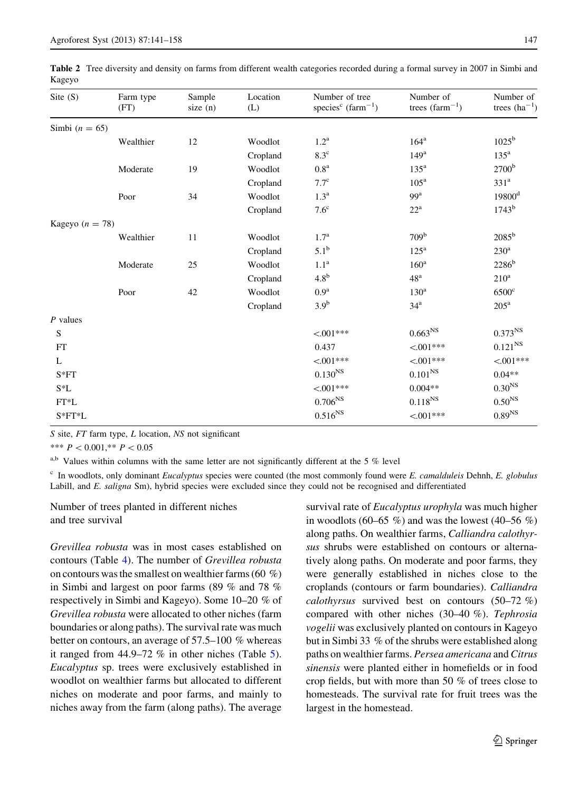<span id="page-6-0"></span>Table 2 Tree diversity and density on farms from different wealth categories recorded during a formal survey in 2007 in Simbi and Kageyo

| Site $(S)$        | Farm type<br>(FT) | Sample<br>size $(n)$ | Location<br>(L) | Number of tree<br>species <sup>c</sup> (farm <sup>-1</sup> ) | Number of<br>trees $(farm^{-1})$ | Number of<br>trees $(ha^{-1})$ |
|-------------------|-------------------|----------------------|-----------------|--------------------------------------------------------------|----------------------------------|--------------------------------|
| Simbi $(n = 65)$  |                   |                      |                 |                                                              |                                  |                                |
|                   | Wealthier         | 12                   | Woodlot         | 1.2 <sup>a</sup>                                             | $164^{\mathrm{a}}$               | $1025^{\rm b}$                 |
|                   |                   |                      | Cropland        | $8.3^{\circ}$                                                | 149 <sup>a</sup>                 | $135^{\mathrm{a}}$             |
|                   | Moderate          | 19                   | Woodlot         | 0.8 <sup>a</sup>                                             | $135^{\mathrm{a}}$               | 2700 <sup>b</sup>              |
|                   |                   |                      | Cropland        | 7.7 <sup>c</sup>                                             | 105 <sup>a</sup>                 | 331 <sup>a</sup>               |
|                   | Poor              | 34                   | Woodlot         | 1.3 <sup>a</sup>                                             | 99 <sup>a</sup>                  | 19800 <sup>d</sup>             |
|                   |                   |                      | Cropland        | $7.6^{\circ}$                                                | $22^{\rm a}$                     | $1743^b$                       |
| Kageyo $(n = 78)$ |                   |                      |                 |                                                              |                                  |                                |
|                   | Wealthier         | 11                   | Woodlot         | 1.7 <sup>a</sup>                                             | 709 <sup>b</sup>                 | $2085^{\rm b}$                 |
|                   |                   |                      | Cropland        | $5.1^{\rm b}$                                                | $125^{\mathrm{a}}$               | $230^{\rm a}$                  |
|                   | Moderate          | 25                   | Woodlot         | 1.1 <sup>a</sup>                                             | 160 <sup>a</sup>                 | 2286 <sup>b</sup>              |
|                   |                   |                      | Cropland        | 4.8 <sup>b</sup>                                             | 48 <sup>a</sup>                  | $210^a$                        |
|                   | Poor              | 42                   | Woodlot         | 0.9 <sup>a</sup>                                             | 130 <sup>a</sup>                 | $6500^{\circ}$                 |
|                   |                   |                      | Cropland        | 3.9 <sup>b</sup>                                             | 34 <sup>a</sup>                  | $205^{\rm a}$                  |
| $P$ values        |                   |                      |                 |                                                              |                                  |                                |
| S                 |                   |                      |                 | $< 001***$                                                   | $0.663^{NS}$                     | $0.373^{NS}$                   |
| FT                |                   |                      |                 | 0.437                                                        | $< 001***$                       | $0.121^{NS}$                   |
| L                 |                   |                      |                 | $< 0.01***$                                                  | $< 0.01***$                      | $< 001***$                     |
| $S*FT$            |                   |                      |                 | $0.130^{NS}$                                                 | $0.101^{NS}$                     | $0.04**$                       |
| S*L               |                   |                      |                 | $< 0.01***$                                                  | $0.004**$                        | $0.30NS$                       |
| $FT^*L$           |                   |                      |                 | $0.706^{NS}$                                                 | $0.118^{\rm NS}$                 | $0.50^{\mathrm{NS}}$           |
| $S*FT*L$          |                   |                      |                 | $0.516^{NS}$                                                 | $< 0.01***$                      | $0.89^{\mathrm{NS}}$           |

S site, FT farm type, L location, NS not significant

\*\*\*  $P < 0.001$ ,\*\*  $P < 0.05$ 

 $a,b$  Values within columns with the same letter are not significantly different at the 5 % level

 $c$  In woodlots, only dominant Eucalyptus species were counted (the most commonly found were E. camalduleis Dehnh, E. globulus Labill, and E. saligna Sm), hybrid species were excluded since they could not be recognised and differentiated

Number of trees planted in different niches and tree survival

Grevillea robusta was in most cases established on contours (Table [4\)](#page-8-0). The number of Grevillea robusta on contours was the smallest on wealthier farms (60 %) in Simbi and largest on poor farms (89 % and 78 % respectively in Simbi and Kageyo). Some 10–20 % of Grevillea robusta were allocated to other niches (farm boundaries or along paths). The survival rate was much better on contours, an average of 57.5–100 % whereas it ranged from 44.9–72 % in other niches (Table [5](#page-9-0)). Eucalyptus sp. trees were exclusively established in woodlot on wealthier farms but allocated to different niches on moderate and poor farms, and mainly to niches away from the farm (along paths). The average

survival rate of *Eucalyptus urophyla* was much higher in woodlots (60–65  $\%$ ) and was the lowest (40–56  $\%$ ) along paths. On wealthier farms, Calliandra calothyrsus shrubs were established on contours or alternatively along paths. On moderate and poor farms, they were generally established in niches close to the croplands (contours or farm boundaries). Calliandra calothyrsus survived best on contours (50–72 %) compared with other niches (30–40 %). Tephrosia vogelii was exclusively planted on contours in Kageyo but in Simbi 33 % of the shrubs were established along paths on wealthier farms. Persea americana and Citrus sinensis were planted either in homefields or in food crop fields, but with more than 50 % of trees close to homesteads. The survival rate for fruit trees was the largest in the homestead.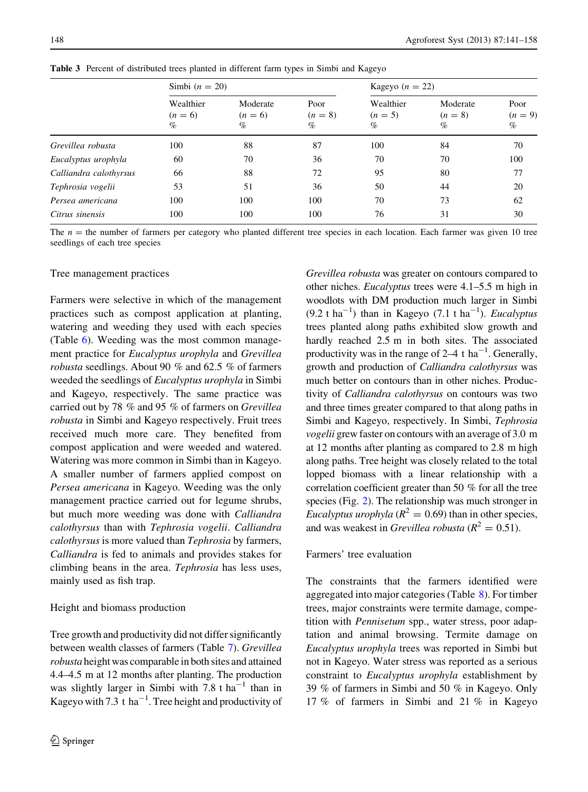|                        | Simbi $(n = 20)$               |                               |                           |                                | Kageyo $(n = 22)$             |                           |  |
|------------------------|--------------------------------|-------------------------------|---------------------------|--------------------------------|-------------------------------|---------------------------|--|
|                        | Wealthier<br>$(n = 6)$<br>$\%$ | Moderate<br>$(n = 6)$<br>$\%$ | Poor<br>$(n = 8)$<br>$\%$ | Wealthier<br>$(n = 5)$<br>$\%$ | Moderate<br>$(n = 8)$<br>$\%$ | Poor<br>$(n = 9)$<br>$\%$ |  |
| Grevillea robusta      | 100                            | 88                            | 87                        | 100                            | 84                            | 70                        |  |
| Eucalyptus urophyla    | 60                             | 70                            | 36                        | 70                             | 70                            | 100                       |  |
| Calliandra calothyrsus | 66                             | 88                            | 72                        | 95                             | 80                            | 77                        |  |
| Tephrosia vogelii      | 53                             | 51                            | 36                        | 50                             | 44                            | 20                        |  |
| Persea americana       | 100                            | 100                           | 100                       | 70                             | 73                            | 62                        |  |
| Citrus sinensis        | 100                            | 100                           | 100                       | 76                             | 31                            | 30                        |  |

<span id="page-7-0"></span>Table 3 Percent of distributed trees planted in different farm types in Simbi and Kageyo

The  $n =$  the number of farmers per category who planted different tree species in each location. Each farmer was given 10 tree seedlings of each tree species

## Tree management practices

Farmers were selective in which of the management practices such as compost application at planting, watering and weeding they used with each species (Table [6](#page-10-0)). Weeding was the most common management practice for Eucalyptus urophyla and Grevillea robusta seedlings. About 90 % and 62.5 % of farmers weeded the seedlings of Eucalyptus urophyla in Simbi and Kageyo, respectively. The same practice was carried out by 78 % and 95 % of farmers on Grevillea robusta in Simbi and Kageyo respectively. Fruit trees received much more care. They benefited from compost application and were weeded and watered. Watering was more common in Simbi than in Kageyo. A smaller number of farmers applied compost on Persea americana in Kageyo. Weeding was the only management practice carried out for legume shrubs, but much more weeding was done with Calliandra calothyrsus than with Tephrosia vogelii. Calliandra calothyrsus is more valued than Tephrosia by farmers, Calliandra is fed to animals and provides stakes for climbing beans in the area. Tephrosia has less uses, mainly used as fish trap.

## Height and biomass production

Tree growth and productivity did not differ significantly between wealth classes of farmers (Table [7](#page-11-0)). Grevillea robusta height was comparable in both sites and attained 4.4–4.5 m at 12 months after planting. The production was slightly larger in Simbi with 7.8 t ha<sup>-1</sup> than in Kageyo with 7.3 t ha<sup>-1</sup>. Tree height and productivity of

Grevillea robusta was greater on contours compared to other niches. Eucalyptus trees were 4.1–5.5 m high in woodlots with DM production much larger in Simbi  $(9.2 \text{ t ha}^{-1})$  than in Kageyo  $(7.1 \text{ t ha}^{-1})$ . *Eucalyptus* trees planted along paths exhibited slow growth and hardly reached 2.5 m in both sites. The associated productivity was in the range of  $2-4$  t ha<sup>-1</sup>. Generally, growth and production of Calliandra calothyrsus was much better on contours than in other niches. Productivity of Calliandra calothyrsus on contours was two and three times greater compared to that along paths in Simbi and Kageyo, respectively. In Simbi, Tephrosia vogelii grew faster on contours with an average of 3.0 m at 12 months after planting as compared to 2.8 m high along paths. Tree height was closely related to the total lopped biomass with a linear relationship with a correlation coefficient greater than 50 % for all the tree species (Fig. [2](#page-12-0)). The relationship was much stronger in *Eucalyptus urophyla* ( $R^2 = 0.69$ ) than in other species, and was weakest in *Grevillea robusta* ( $R^2 = 0.51$ ).

## Farmers' tree evaluation

The constraints that the farmers identified were aggregated into major categories (Table [8\)](#page-13-0). For timber trees, major constraints were termite damage, competition with Pennisetum spp., water stress, poor adaptation and animal browsing. Termite damage on Eucalyptus urophyla trees was reported in Simbi but not in Kageyo. Water stress was reported as a serious constraint to Eucalyptus urophyla establishment by 39 % of farmers in Simbi and 50 % in Kageyo. Only 17 % of farmers in Simbi and 21 % in Kageyo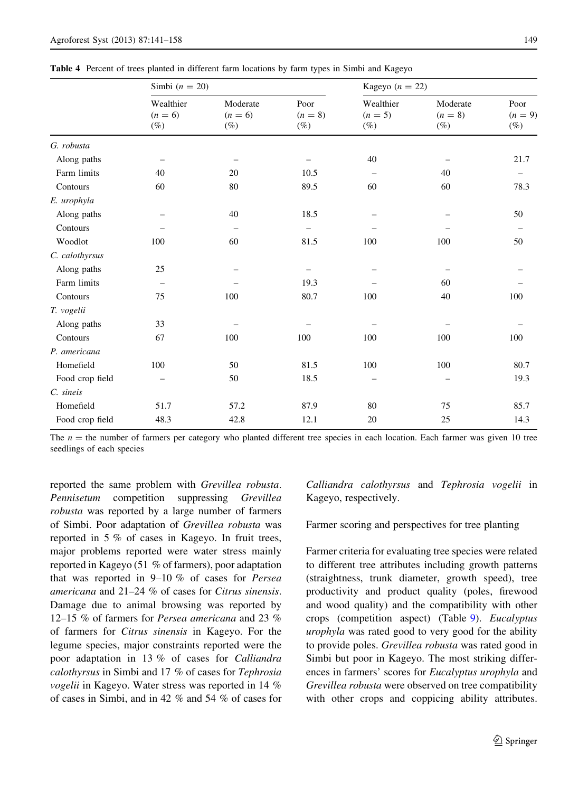<span id="page-8-0"></span>

| Table 4 Percent of trees planted in different farm locations by farm types in Simbi and Kageyo |  |
|------------------------------------------------------------------------------------------------|--|
|------------------------------------------------------------------------------------------------|--|

|                 | Simbi $(n = 20)$                 |                                   |                             |                                  | Kageyo $(n = 22)$               |                             |  |  |
|-----------------|----------------------------------|-----------------------------------|-----------------------------|----------------------------------|---------------------------------|-----------------------------|--|--|
|                 | Wealthier<br>$(n = 6)$<br>$(\%)$ | Moderate<br>$(n = 6)$<br>$(\%)$   | Poor<br>$(n = 8)$<br>$(\%)$ | Wealthier<br>$(n = 5)$<br>$(\%)$ | Moderate<br>$(n = 8)$<br>$(\%)$ | Poor<br>$(n = 9)$<br>$(\%)$ |  |  |
| G. robusta      |                                  |                                   |                             |                                  |                                 |                             |  |  |
| Along paths     |                                  |                                   |                             | 40                               |                                 | 21.7                        |  |  |
| Farm limits     | 40                               | 20                                | 10.5                        |                                  | 40                              |                             |  |  |
| Contours        | 60                               | 80                                | 89.5                        | 60                               | 60                              | 78.3                        |  |  |
| E. urophyla     |                                  |                                   |                             |                                  |                                 |                             |  |  |
| Along paths     |                                  | 40                                | 18.5                        |                                  |                                 | 50                          |  |  |
| Contours        |                                  | $\overbrace{\phantom{123221111}}$ | -                           |                                  |                                 | $\overline{\phantom{0}}$    |  |  |
| Woodlot         | 100                              | 60                                | 81.5                        | 100                              | 100                             | 50                          |  |  |
| C. calothyrsus  |                                  |                                   |                             |                                  |                                 |                             |  |  |
| Along paths     | 25                               |                                   |                             |                                  |                                 |                             |  |  |
| Farm limits     |                                  |                                   | 19.3                        |                                  | 60                              |                             |  |  |
| Contours        | 75                               | 100                               | 80.7                        | 100                              | 40                              | 100                         |  |  |
| T. vogelii      |                                  |                                   |                             |                                  |                                 |                             |  |  |
| Along paths     | 33                               |                                   |                             |                                  |                                 |                             |  |  |
| Contours        | 67                               | 100                               | 100                         | 100                              | 100                             | 100                         |  |  |
| P. americana    |                                  |                                   |                             |                                  |                                 |                             |  |  |
| Homefield       | 100                              | 50                                | 81.5                        | 100                              | 100                             | 80.7                        |  |  |
| Food crop field |                                  | 50                                | 18.5                        |                                  |                                 | 19.3                        |  |  |
| C. sineis       |                                  |                                   |                             |                                  |                                 |                             |  |  |
| Homefield       | 51.7                             | 57.2                              | 87.9                        | 80                               | 75                              | 85.7                        |  |  |
| Food crop field | 48.3                             | 42.8                              | 12.1                        | 20                               | 25                              | 14.3                        |  |  |

The  $n =$  the number of farmers per category who planted different tree species in each location. Each farmer was given 10 tree seedlings of each species

reported the same problem with Grevillea robusta. Pennisetum competition suppressing Grevillea robusta was reported by a large number of farmers of Simbi. Poor adaptation of Grevillea robusta was reported in 5 % of cases in Kageyo. In fruit trees, major problems reported were water stress mainly reported in Kageyo (51 % of farmers), poor adaptation that was reported in 9–10 % of cases for Persea americana and 21–24 % of cases for Citrus sinensis. Damage due to animal browsing was reported by 12–15 % of farmers for Persea americana and 23 % of farmers for Citrus sinensis in Kageyo. For the legume species, major constraints reported were the poor adaptation in 13 % of cases for Calliandra calothyrsus in Simbi and 17 % of cases for Tephrosia vogelii in Kageyo. Water stress was reported in 14 % of cases in Simbi, and in 42 % and 54 % of cases for

Calliandra calothyrsus and Tephrosia vogelii in Kageyo, respectively.

Farmer scoring and perspectives for tree planting

Farmer criteria for evaluating tree species were related to different tree attributes including growth patterns (straightness, trunk diameter, growth speed), tree productivity and product quality (poles, firewood and wood quality) and the compatibility with other crops (competition aspect) (Table [9\)](#page-14-0). Eucalyptus urophyla was rated good to very good for the ability to provide poles. Grevillea robusta was rated good in Simbi but poor in Kageyo. The most striking differences in farmers' scores for Eucalyptus urophyla and Grevillea robusta were observed on tree compatibility with other crops and coppicing ability attributes.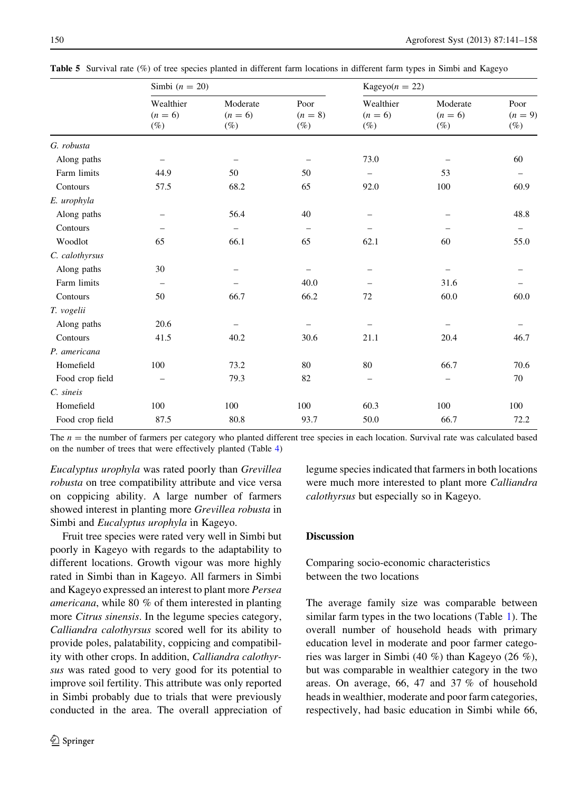|                 | Simbi $(n = 20)$                 |                                 |                             | Kageyo $(n = 22)$                |                                 |                             |  |
|-----------------|----------------------------------|---------------------------------|-----------------------------|----------------------------------|---------------------------------|-----------------------------|--|
|                 | Wealthier<br>$(n = 6)$<br>$(\%)$ | Moderate<br>$(n = 6)$<br>$(\%)$ | Poor<br>$(n = 8)$<br>$(\%)$ | Wealthier<br>$(n = 6)$<br>$(\%)$ | Moderate<br>$(n = 6)$<br>$(\%)$ | Poor<br>$(n = 9)$<br>$(\%)$ |  |
| G. robusta      |                                  |                                 |                             |                                  |                                 |                             |  |
| Along paths     | $\qquad \qquad -$                | -                               |                             | 73.0                             |                                 | 60                          |  |
| Farm limits     | 44.9                             | 50                              | 50                          | -                                | 53                              |                             |  |
| Contours        | 57.5                             | 68.2                            | 65                          | 92.0                             | 100                             | 60.9                        |  |
| E. urophyla     |                                  |                                 |                             |                                  |                                 |                             |  |
| Along paths     | -                                | 56.4                            | 40                          |                                  |                                 | 48.8                        |  |
| Contours        |                                  | $\overline{\phantom{0}}$        |                             |                                  |                                 | -                           |  |
| Woodlot         | 65                               | 66.1                            | 65                          | 62.1                             | 60                              | 55.0                        |  |
| C. calothyrsus  |                                  |                                 |                             |                                  |                                 |                             |  |
| Along paths     | 30                               | -                               | $\equiv$                    | -                                | $\overline{\phantom{0}}$        |                             |  |
| Farm limits     | -                                |                                 | 40.0                        |                                  | 31.6                            |                             |  |
| Contours        | 50                               | 66.7                            | 66.2                        | 72                               | 60.0                            | 60.0                        |  |
| T. vogelii      |                                  |                                 |                             |                                  |                                 |                             |  |
| Along paths     | 20.6                             | -                               |                             |                                  |                                 |                             |  |
| Contours        | 41.5                             | 40.2                            | 30.6                        | 21.1                             | 20.4                            | 46.7                        |  |
| P. americana    |                                  |                                 |                             |                                  |                                 |                             |  |
| Homefield       | 100                              | 73.2                            | 80                          | 80                               | 66.7                            | 70.6                        |  |
| Food crop field |                                  | 79.3                            | 82                          | -                                |                                 | 70                          |  |
| C. sineis       |                                  |                                 |                             |                                  |                                 |                             |  |
| Homefield       | 100                              | 100                             | 100                         | 60.3                             | 100                             | 100                         |  |
| Food crop field | 87.5                             | 80.8                            | 93.7                        | 50.0                             | 66.7                            | 72.2                        |  |

<span id="page-9-0"></span>Table 5 Survival rate (%) of tree species planted in different farm locations in different farm types in Simbi and Kageyo

The  $n =$  the number of farmers per category who planted different tree species in each location. Survival rate was calculated based on the number of trees that were effectively planted (Table [4](#page-8-0))

Eucalyptus urophyla was rated poorly than Grevillea robusta on tree compatibility attribute and vice versa on coppicing ability. A large number of farmers showed interest in planting more Grevillea robusta in Simbi and Eucalyptus urophyla in Kageyo.

Fruit tree species were rated very well in Simbi but poorly in Kageyo with regards to the adaptability to different locations. Growth vigour was more highly rated in Simbi than in Kageyo. All farmers in Simbi and Kageyo expressed an interest to plant more Persea americana, while 80 % of them interested in planting more Citrus sinensis. In the legume species category, Calliandra calothyrsus scored well for its ability to provide poles, palatability, coppicing and compatibility with other crops. In addition, Calliandra calothyrsus was rated good to very good for its potential to improve soil fertility. This attribute was only reported in Simbi probably due to trials that were previously conducted in the area. The overall appreciation of legume species indicated that farmers in both locations were much more interested to plant more Calliandra calothyrsus but especially so in Kageyo.

# **Discussion**

Comparing socio-economic characteristics between the two locations

The average family size was comparable between similar farm types in the two locations (Table [1](#page-3-0)). The overall number of household heads with primary education level in moderate and poor farmer categories was larger in Simbi (40 %) than Kageyo (26 %), but was comparable in wealthier category in the two areas. On average, 66, 47 and 37 % of household heads in wealthier, moderate and poor farm categories, respectively, had basic education in Simbi while 66,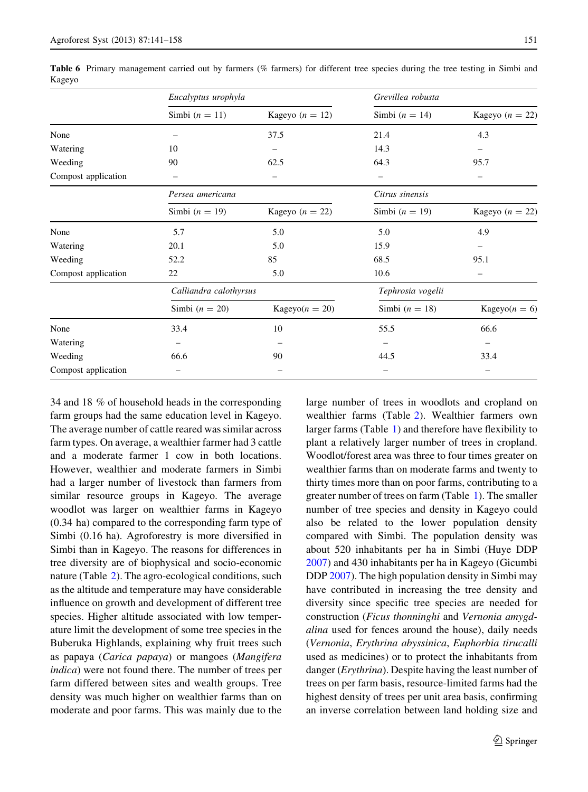|                     | Eucalyptus urophyla    |                   | Grevillea robusta |                   |  |
|---------------------|------------------------|-------------------|-------------------|-------------------|--|
|                     | Simbi $(n = 11)$       | Kageyo $(n = 12)$ | Simbi $(n = 14)$  | Kageyo $(n = 22)$ |  |
| None                |                        | 37.5              | 21.4              | 4.3               |  |
| Watering            | 10                     |                   | 14.3              |                   |  |
| Weeding             | 90                     | 62.5              | 64.3              | 95.7              |  |
| Compost application |                        |                   |                   |                   |  |
|                     | Persea americana       |                   | Citrus sinensis   |                   |  |
|                     | Simbi $(n = 19)$       | Kageyo $(n = 22)$ | Simbi $(n = 19)$  | Kageyo $(n = 22)$ |  |
| None                | 5.7                    | 5.0               | 5.0               | 4.9               |  |
| Watering            | 20.1                   | 5.0               | 15.9              |                   |  |
| Weeding             | 52.2                   | 85                | 68.5              | 95.1              |  |
| Compost application | 22                     | 5.0               | 10.6              |                   |  |
|                     | Calliandra calothyrsus |                   | Tephrosia vogelii |                   |  |
|                     | Simbi $(n = 20)$       | Kageyo $(n = 20)$ | Simbi $(n = 18)$  | Kageyo $(n = 6)$  |  |
| None                | 33.4                   | 10                | 55.5              | 66.6              |  |
| Watering            | -                      |                   |                   |                   |  |
| Weeding             | 66.6                   | 90                | 44.5              | 33.4              |  |
| Compost application |                        |                   |                   |                   |  |

<span id="page-10-0"></span>Table 6 Primary management carried out by farmers (% farmers) for different tree species during the tree testing in Simbi and Kageyo

34 and 18 % of household heads in the corresponding farm groups had the same education level in Kageyo. The average number of cattle reared was similar across farm types. On average, a wealthier farmer had 3 cattle and a moderate farmer 1 cow in both locations. However, wealthier and moderate farmers in Simbi had a larger number of livestock than farmers from similar resource groups in Kageyo. The average woodlot was larger on wealthier farms in Kageyo (0.34 ha) compared to the corresponding farm type of Simbi (0.16 ha). Agroforestry is more diversified in Simbi than in Kageyo. The reasons for differences in tree diversity are of biophysical and socio-economic nature (Table [2](#page-6-0)). The agro-ecological conditions, such as the altitude and temperature may have considerable influence on growth and development of different tree species. Higher altitude associated with low temperature limit the development of some tree species in the Buberuka Highlands, explaining why fruit trees such as papaya (Carica papaya) or mangoes (Mangifera indica) were not found there. The number of trees per farm differed between sites and wealth groups. Tree density was much higher on wealthier farms than on moderate and poor farms. This was mainly due to the large number of trees in woodlots and cropland on wealthier farms (Table [2\)](#page-6-0). Wealthier farmers own larger farms (Table [1\)](#page-3-0) and therefore have flexibility to plant a relatively larger number of trees in cropland. Woodlot/forest area was three to four times greater on wealthier farms than on moderate farms and twenty to thirty times more than on poor farms, contributing to a greater number of trees on farm (Table [1](#page-3-0)). The smaller number of tree species and density in Kageyo could also be related to the lower population density compared with Simbi. The population density was about 520 inhabitants per ha in Simbi (Huye DDP [2007\)](#page-16-0) and 430 inhabitants per ha in Kageyo (Gicumbi DDP [2007\)](#page-16-0). The high population density in Simbi may have contributed in increasing the tree density and diversity since specific tree species are needed for construction (Ficus thonninghi and Vernonia amygdalina used for fences around the house), daily needs (Vernonia, Erythrina abyssinica, Euphorbia tirucalli used as medicines) or to protect the inhabitants from danger (Erythrina). Despite having the least number of trees on per farm basis, resource-limited farms had the highest density of trees per unit area basis, confirming an inverse correlation between land holding size and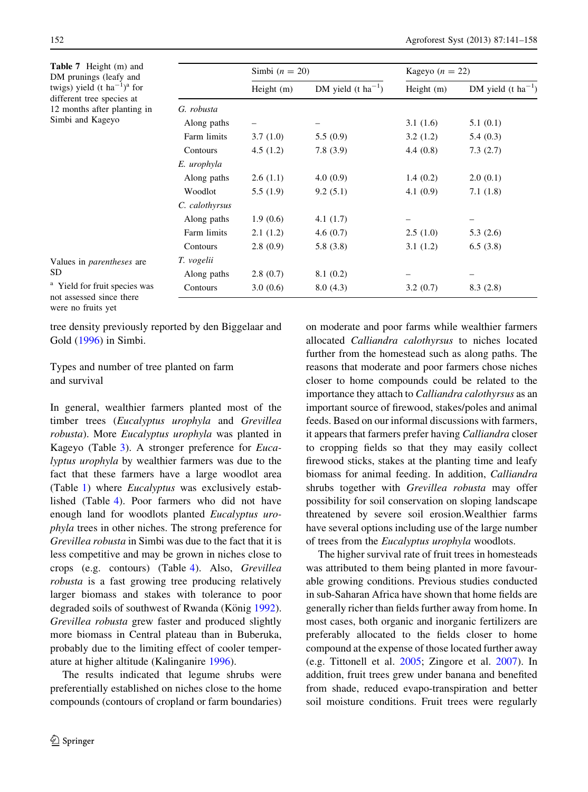<span id="page-11-0"></span>Table 7 Height (m) and DM prunings (leafy and twigs) yield  $(t \text{ ha}^{-1})^a$  for different tree species at 12 months after planting in Simbi and Kageyo

|                | Simbi $(n = 20)$ |                                | Kageyo $(n = 22)$ |                                |  |
|----------------|------------------|--------------------------------|-------------------|--------------------------------|--|
|                | Height $(m)$     | DM yield $(t \text{ ha}^{-1})$ | Height $(m)$      | DM yield $(t \text{ ha}^{-1})$ |  |
| G. robusta     |                  |                                |                   |                                |  |
| Along paths    |                  |                                | 3.1(1.6)          | 5.1(0.1)                       |  |
| Farm limits    | 3.7(1.0)         | 5.5(0.9)                       | 3.2(1.2)          | 5.4(0.3)                       |  |
| Contours       | 4.5(1.2)         | 7.8(3.9)                       | 4.4(0.8)          | 7.3(2.7)                       |  |
| E. urophyla    |                  |                                |                   |                                |  |
| Along paths    | 2.6(1.1)         | 4.0(0.9)                       | 1.4(0.2)          | 2.0(0.1)                       |  |
| Woodlot        | 5.5(1.9)         | 9.2(5.1)                       | 4.1(0.9)          | 7.1(1.8)                       |  |
| C. calothyrsus |                  |                                |                   |                                |  |
| Along paths    | 1.9(0.6)         | 4.1 $(1.7)$                    |                   |                                |  |
| Farm limits    | 2.1(1.2)         | 4.6 $(0.7)$                    | 2.5(1.0)          | 5.3(2.6)                       |  |
| Contours       | 2.8(0.9)         | 5.8(3.8)                       | 3.1(1.2)          | 6.5(3.8)                       |  |
| T. vogelii     |                  |                                |                   |                                |  |
| Along paths    | 2.8(0.7)         | 8.1(0.2)                       |                   |                                |  |
| Contours       | 3.0(0.6)         | 8.0(4.3)                       | 3.2(0.7)          | 8.3(2.8)                       |  |

<sup>a</sup> Yield for fruit species was not assessed since there were no fruits yet

Values in parentheses are

SD

tree density previously reported by den Biggelaar and Gold ([1996\)](#page-16-0) in Simbi.

Types and number of tree planted on farm and survival

In general, wealthier farmers planted most of the timber trees (Eucalyptus urophyla and Grevillea robusta). More Eucalyptus urophyla was planted in Kageyo (Table [3\)](#page-7-0). A stronger preference for *Euca*lyptus urophyla by wealthier farmers was due to the fact that these farmers have a large woodlot area (Table [1](#page-3-0)) where Eucalyptus was exclusively established (Table [4\)](#page-8-0). Poor farmers who did not have enough land for woodlots planted Eucalyptus urophyla trees in other niches. The strong preference for Grevillea robusta in Simbi was due to the fact that it is less competitive and may be grown in niches close to crops (e.g. contours) (Table [4\)](#page-8-0). Also, Grevillea robusta is a fast growing tree producing relatively larger biomass and stakes with tolerance to poor degraded soils of southwest of Rwanda (König [1992](#page-16-0)). Grevillea robusta grew faster and produced slightly more biomass in Central plateau than in Buberuka, probably due to the limiting effect of cooler temperature at higher altitude (Kalinganire [1996](#page-16-0)).

The results indicated that legume shrubs were preferentially established on niches close to the home compounds (contours of cropland or farm boundaries) on moderate and poor farms while wealthier farmers allocated Calliandra calothyrsus to niches located further from the homestead such as along paths. The reasons that moderate and poor farmers chose niches closer to home compounds could be related to the importance they attach to Calliandra calothyrsus as an important source of firewood, stakes/poles and animal feeds. Based on our informal discussions with farmers, it appears that farmers prefer having Calliandra closer to cropping fields so that they may easily collect firewood sticks, stakes at the planting time and leafy biomass for animal feeding. In addition, Calliandra shrubs together with Grevillea robusta may offer possibility for soil conservation on sloping landscape threatened by severe soil erosion.Wealthier farms have several options including use of the large number of trees from the Eucalyptus urophyla woodlots.

The higher survival rate of fruit trees in homesteads was attributed to them being planted in more favourable growing conditions. Previous studies conducted in sub-Saharan Africa have shown that home fields are generally richer than fields further away from home. In most cases, both organic and inorganic fertilizers are preferably allocated to the fields closer to home compound at the expense of those located further away (e.g. Tittonell et al. [2005](#page-17-0); Zingore et al. [2007\)](#page-17-0). In addition, fruit trees grew under banana and benefited from shade, reduced evapo-transpiration and better soil moisture conditions. Fruit trees were regularly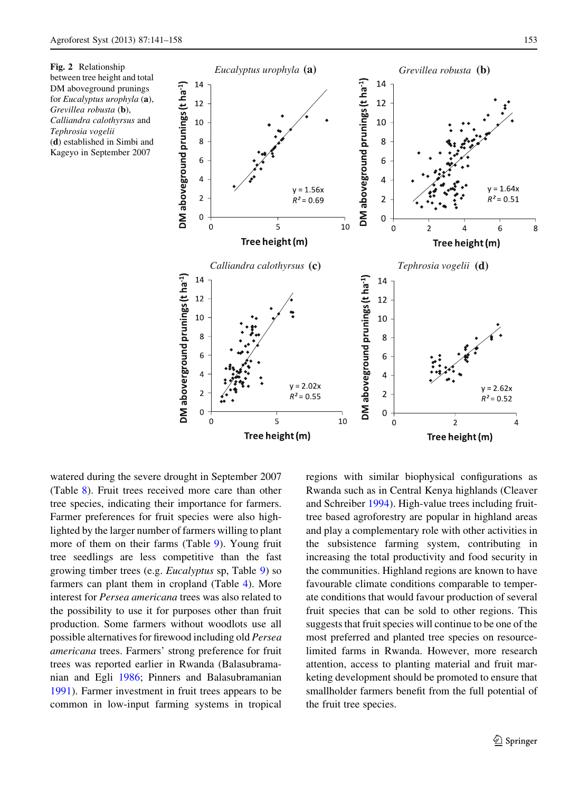<span id="page-12-0"></span>



watered during the severe drought in September 2007 (Table [8](#page-13-0)). Fruit trees received more care than other tree species, indicating their importance for farmers. Farmer preferences for fruit species were also highlighted by the larger number of farmers willing to plant more of them on their farms (Table [9](#page-14-0)). Young fruit tree seedlings are less competitive than the fast growing timber trees (e.g. Eucalyptus sp, Table [9](#page-14-0)) so farmers can plant them in cropland (Table [4](#page-8-0)). More interest for Persea americana trees was also related to the possibility to use it for purposes other than fruit production. Some farmers without woodlots use all possible alternatives for firewood including old Persea americana trees. Farmers' strong preference for fruit trees was reported earlier in Rwanda (Balasubramanian and Egli [1986](#page-16-0); Pinners and Balasubramanian [1991\)](#page-17-0). Farmer investment in fruit trees appears to be common in low-input farming systems in tropical regions with similar biophysical configurations as Rwanda such as in Central Kenya highlands (Cleaver and Schreiber [1994](#page-16-0)). High-value trees including fruittree based agroforestry are popular in highland areas and play a complementary role with other activities in the subsistence farming system, contributing in increasing the total productivity and food security in the communities. Highland regions are known to have favourable climate conditions comparable to temperate conditions that would favour production of several fruit species that can be sold to other regions. This suggests that fruit species will continue to be one of the most preferred and planted tree species on resourcelimited farms in Rwanda. However, more research attention, access to planting material and fruit marketing development should be promoted to ensure that smallholder farmers benefit from the full potential of the fruit tree species.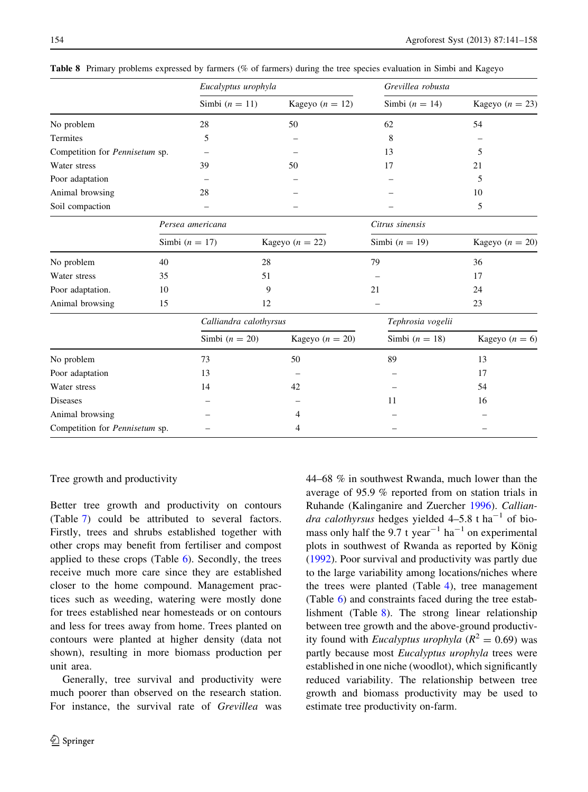|                                | Eucalyptus urophyla    |                   | Grevillea robusta |                   |  |  |
|--------------------------------|------------------------|-------------------|-------------------|-------------------|--|--|
|                                | Simbi $(n = 11)$       | Kageyo $(n = 12)$ | Simbi $(n = 14)$  | Kageyo $(n = 23)$ |  |  |
| No problem                     | 28                     | 50                | 62                | 54                |  |  |
| Termites                       | 5                      |                   | 8                 |                   |  |  |
| Competition for Pennisetum sp. |                        |                   | 13                | 5                 |  |  |
| Water stress                   | 39                     | 50                | 17                | 21                |  |  |
| Poor adaptation                |                        |                   |                   | 5                 |  |  |
| Animal browsing                | 28                     |                   |                   | 10                |  |  |
| Soil compaction                |                        |                   |                   | 5                 |  |  |
|                                | Persea americana       |                   | Citrus sinensis   |                   |  |  |
|                                | Simbi $(n = 17)$       | Kageyo $(n = 22)$ | Simbi $(n = 19)$  | Kageyo $(n = 20)$ |  |  |
| No problem                     | 40                     | 28                | 79                | 36                |  |  |
| Water stress                   | 35                     | 51                |                   | 17                |  |  |
| Poor adaptation.               | 10                     | 9                 | 21                | 24                |  |  |
| Animal browsing                | 15                     | 12                |                   | 23                |  |  |
|                                | Calliandra calothyrsus |                   | Tephrosia vogelii |                   |  |  |
|                                | Simbi $(n = 20)$       | Kageyo $(n = 20)$ | Simbi $(n = 18)$  | Kageyo $(n = 6)$  |  |  |
| No problem                     | 73                     | 50                | 89                | 13                |  |  |
| Poor adaptation                | 13                     |                   |                   | 17                |  |  |
| Water stress                   | 14                     | 42                |                   | 54                |  |  |
| <b>Diseases</b>                |                        |                   | 11                | 16                |  |  |
| Animal browsing                |                        | 4                 |                   |                   |  |  |
| Competition for Pennisetum sp. |                        | 4                 |                   |                   |  |  |

<span id="page-13-0"></span>Table 8 Primary problems expressed by farmers (% of farmers) during the tree species evaluation in Simbi and Kageyo

# Tree growth and productivity

Better tree growth and productivity on contours (Table [7](#page-11-0)) could be attributed to several factors. Firstly, trees and shrubs established together with other crops may benefit from fertiliser and compost applied to these crops (Table [6\)](#page-10-0). Secondly, the trees receive much more care since they are established closer to the home compound. Management practices such as weeding, watering were mostly done for trees established near homesteads or on contours and less for trees away from home. Trees planted on contours were planted at higher density (data not shown), resulting in more biomass production per unit area.

Generally, tree survival and productivity were much poorer than observed on the research station. For instance, the survival rate of Grevillea was 44–68 % in southwest Rwanda, much lower than the average of 95.9 % reported from on station trials in Ruhande (Kalinganire and Zuercher [1996](#page-16-0)). Calliandra calothyrsus hedges yielded  $4-5.8$  t ha<sup>-1</sup> of biomass only half the 9.7 t year<sup>-1</sup> ha<sup>-1</sup> on experimental plots in southwest of Rwanda as reported by König [\(1992](#page-16-0)). Poor survival and productivity was partly due to the large variability among locations/niches where the trees were planted (Table [4\)](#page-8-0), tree management (Table [6](#page-10-0)) and constraints faced during the tree establishment (Table 8). The strong linear relationship between tree growth and the above-ground productivity found with *Eucalyptus urophyla* ( $R^2 = 0.69$ ) was partly because most Eucalyptus urophyla trees were established in one niche (woodlot), which significantly reduced variability. The relationship between tree growth and biomass productivity may be used to estimate tree productivity on-farm.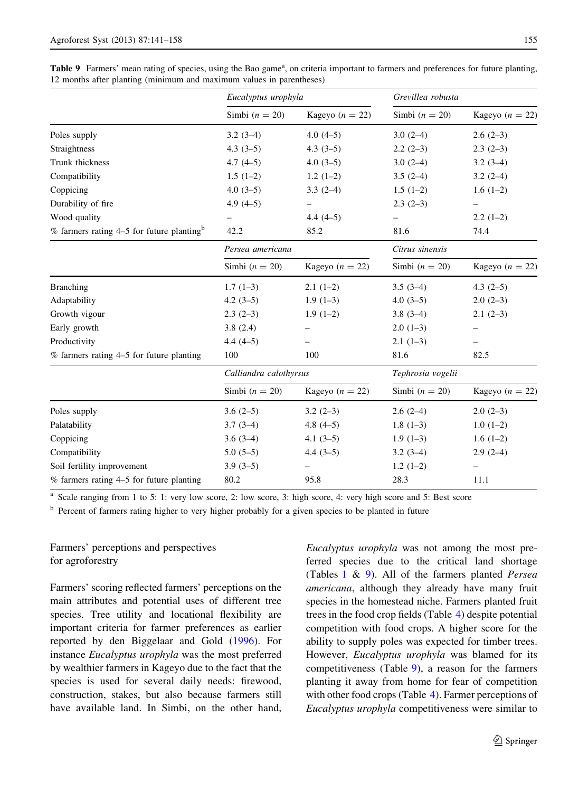<span id="page-14-0"></span>

|  | Table 9 Farmers' mean rating of species, using the Bao game <sup>a</sup> , on criteria important to farmers and preferences for future planting, |  |  |  |  |  |
|--|--------------------------------------------------------------------------------------------------------------------------------------------------|--|--|--|--|--|
|  | 12 months after planting (minimum and maximum values in parentheses)                                                                             |  |  |  |  |  |

|                                                         | Eucalyptus urophyla    |                   | Grevillea robusta |                   |  |
|---------------------------------------------------------|------------------------|-------------------|-------------------|-------------------|--|
|                                                         | Simbi $(n = 20)$       | Kageyo $(n = 22)$ | Simbi $(n = 20)$  | Kageyo $(n = 22)$ |  |
| Poles supply                                            | $3.2(3-4)$             | $4.0(4-5)$        | $3.0(2-4)$        | $2.6(2-3)$        |  |
| Straightness                                            | $4.3(3-5)$             | $4.3(3-5)$        | $2.2(2-3)$        | $2.3(2-3)$        |  |
| Trunk thickness                                         | $4.7(4-5)$             | $4.0(3-5)$        | $3.0(2-4)$        | $3.2(3-4)$        |  |
| Compatibility                                           | $1.5(1-2)$             | $1.2(1-2)$        | $3.5(2-4)$        | $3.2(2-4)$        |  |
| Coppicing                                               | $4.0(3-5)$             | $3.3(2-4)$        | $1.5(1-2)$        | $1.6(1-2)$        |  |
| Durability of fire                                      | $4.9(4-5)$             |                   | $2.3(2-3)$        |                   |  |
| Wood quality                                            |                        | $4.4(4-5)$        |                   | $2.2(1-2)$        |  |
| $%$ farmers rating 4–5 for future planting <sup>b</sup> | 42.2                   | 85.2              | 81.6              | 74.4              |  |
|                                                         | Persea americana       |                   | Citrus sinensis   |                   |  |
|                                                         | Simbi $(n = 20)$       | Kageyo $(n = 22)$ | Simbi $(n = 20)$  | Kageyo $(n = 22)$ |  |
| <b>Branching</b>                                        | $1.7(1-3)$             | $2.1(1-2)$        | $3.5(3-4)$        | $4.3(2-5)$        |  |
| Adaptability                                            | $4.2(3-5)$             | $1.9(1-3)$        | $4.0(3-5)$        | $2.0(2-3)$        |  |
| Growth vigour                                           | $2.3(2-3)$             | $1.9(1-2)$        | $3.8(3-4)$        | $2.1(2-3)$        |  |
| Early growth                                            | 3.8(2.4)               |                   | $2.0(1-3)$        |                   |  |
| Productivity                                            | $4.4(4-5)$             |                   | $2.1(1-3)$        |                   |  |
| % farmers rating 4–5 for future planting                | 100                    | 100               | 81.6              | 82.5              |  |
|                                                         | Calliandra calothyrsus |                   | Tephrosia vogelii |                   |  |
|                                                         | Simbi $(n = 20)$       | Kageyo $(n = 22)$ | Simbi $(n = 20)$  | Kageyo $(n = 22)$ |  |
| Poles supply                                            | $3.6(2-5)$             | $3.2(2-3)$        | $2.6(2-4)$        | $2.0(2-3)$        |  |
| Palatability                                            | $3.7(3-4)$             | $4.8(4-5)$        | $1.8(1-3)$        | $1.0(1-2)$        |  |
| Coppicing                                               | $3.6(3-4)$             | $4.1(3-5)$        | $1.9(1-3)$        | $1.6(1-2)$        |  |
| Compatibility                                           | $5.0(5-5)$             | $4.4(3-5)$        | $3.2(3-4)$        | $2.9(2-4)$        |  |
| Soil fertility improvement                              | $3.9(3-5)$             |                   | $1.2(1-2)$        |                   |  |
| $%$ farmers rating 4-5 for future planting              | 80.2                   | 95.8              | 28.3              | 11.1              |  |

Scale ranging from 1 to 5: 1: very low score, 2: low score, 3: high score, 4: very high score and 5: Best score

<sup>b</sup> Percent of farmers rating higher to very higher probably for a given species to be planted in future

# Farmers' perceptions and perspectives for agroforestry

Farmers' scoring reflected farmers' perceptions on the main attributes and potential uses of different tree species. Tree utility and locational flexibility are important criteria for farmer preferences as earlier reported by den Biggelaar and Gold ([1996\)](#page-16-0). For instance Eucalyptus urophyla was the most preferred by wealthier farmers in Kageyo due to the fact that the species is used for several daily needs: firewood, construction, stakes, but also because farmers still have available land. In Simbi, on the other hand, Eucalyptus urophyla was not among the most preferred species due to the critical land shortage (Tables  $1 \& 9$  $1 \& 9$ ). All of the farmers planted *Persea* americana, although they already have many fruit species in the homestead niche. Farmers planted fruit trees in the food crop fields (Table [4](#page-8-0)) despite potential competition with food crops. A higher score for the ability to supply poles was expected for timber trees. However, Eucalyptus urophyla was blamed for its competitiveness (Table 9), a reason for the farmers planting it away from home for fear of competition with other food crops (Table [4](#page-8-0)). Farmer perceptions of Eucalyptus urophyla competitiveness were similar to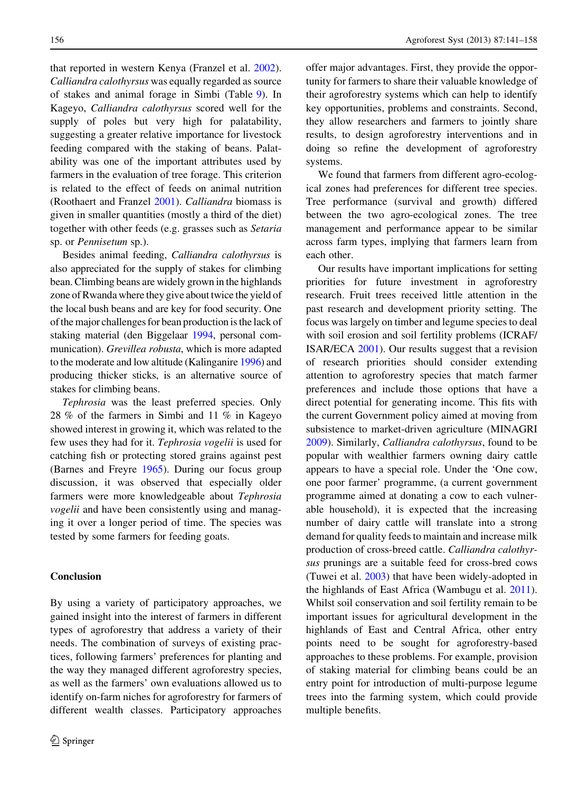that reported in western Kenya (Franzel et al. [2002](#page-16-0)). Calliandra calothyrsus was equally regarded as source of stakes and animal forage in Simbi (Table [9\)](#page-14-0). In Kageyo, Calliandra calothyrsus scored well for the supply of poles but very high for palatability, suggesting a greater relative importance for livestock feeding compared with the staking of beans. Palatability was one of the important attributes used by farmers in the evaluation of tree forage. This criterion is related to the effect of feeds on animal nutrition (Roothaert and Franzel [2001\)](#page-17-0). Calliandra biomass is given in smaller quantities (mostly a third of the diet) together with other feeds (e.g. grasses such as Setaria sp. or Pennisetum sp.).

Besides animal feeding, Calliandra calothyrsus is also appreciated for the supply of stakes for climbing bean. Climbing beans are widely grown in the highlands zone of Rwanda where they give about twice the yield of the local bush beans and are key for food security. One of the major challenges for bean production is the lack of staking material (den Biggelaar [1994](#page-16-0), personal communication). Grevillea robusta, which is more adapted to the moderate and low altitude (Kalinganire [1996\)](#page-16-0) and producing thicker sticks, is an alternative source of stakes for climbing beans.

Tephrosia was the least preferred species. Only 28 % of the farmers in Simbi and 11 % in Kageyo showed interest in growing it, which was related to the few uses they had for it. Tephrosia vogelii is used for catching fish or protecting stored grains against pest (Barnes and Freyre [1965\)](#page-16-0). During our focus group discussion, it was observed that especially older farmers were more knowledgeable about Tephrosia vogelii and have been consistently using and managing it over a longer period of time. The species was tested by some farmers for feeding goats.

## Conclusion

By using a variety of participatory approaches, we gained insight into the interest of farmers in different types of agroforestry that address a variety of their needs. The combination of surveys of existing practices, following farmers' preferences for planting and the way they managed different agroforestry species, as well as the farmers' own evaluations allowed us to identify on-farm niches for agroforestry for farmers of different wealth classes. Participatory approaches

offer major advantages. First, they provide the opportunity for farmers to share their valuable knowledge of their agroforestry systems which can help to identify key opportunities, problems and constraints. Second, they allow researchers and farmers to jointly share results, to design agroforestry interventions and in doing so refine the development of agroforestry systems.

We found that farmers from different agro-ecological zones had preferences for different tree species. Tree performance (survival and growth) differed between the two agro-ecological zones. The tree management and performance appear to be similar across farm types, implying that farmers learn from each other.

Our results have important implications for setting priorities for future investment in agroforestry research. Fruit trees received little attention in the past research and development priority setting. The focus was largely on timber and legume species to deal with soil erosion and soil fertility problems (ICRAF/ ISAR/ECA [2001](#page-16-0)). Our results suggest that a revision of research priorities should consider extending attention to agroforestry species that match farmer preferences and include those options that have a direct potential for generating income. This fits with the current Government policy aimed at moving from subsistence to market-driven agriculture (MINAGRI [2009\)](#page-16-0). Similarly, Calliandra calothyrsus, found to be popular with wealthier farmers owning dairy cattle appears to have a special role. Under the 'One cow, one poor farmer' programme, (a current government programme aimed at donating a cow to each vulnerable household), it is expected that the increasing number of dairy cattle will translate into a strong demand for quality feeds to maintain and increase milk production of cross-breed cattle. Calliandra calothyrsus prunings are a suitable feed for cross-bred cows (Tuwei et al. [2003](#page-17-0)) that have been widely-adopted in the highlands of East Africa (Wambugu et al. [2011](#page-17-0)). Whilst soil conservation and soil fertility remain to be important issues for agricultural development in the highlands of East and Central Africa, other entry points need to be sought for agroforestry-based approaches to these problems. For example, provision of staking material for climbing beans could be an entry point for introduction of multi-purpose legume trees into the farming system, which could provide multiple benefits.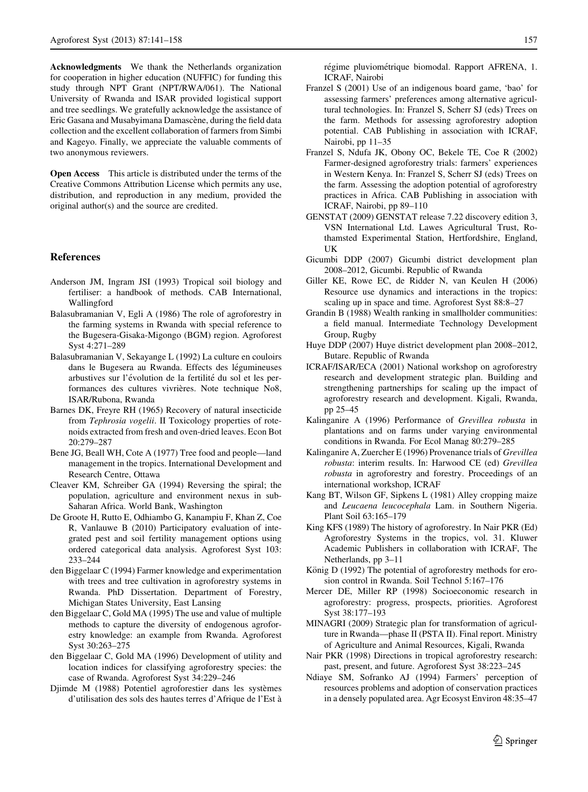<span id="page-16-0"></span>Acknowledgments We thank the Netherlands organization for cooperation in higher education (NUFFIC) for funding this study through NPT Grant (NPT/RWA/061). The National University of Rwanda and ISAR provided logistical support and tree seedlings. We gratefully acknowledge the assistance of Eric Gasana and Musabyimana Damascène, during the field data collection and the excellent collaboration of farmers from Simbi and Kageyo. Finally, we appreciate the valuable comments of two anonymous reviewers.

Open Access This article is distributed under the terms of the Creative Commons Attribution License which permits any use, distribution, and reproduction in any medium, provided the original author(s) and the source are credited.

## References

- Anderson JM, Ingram JSI (1993) Tropical soil biology and fertiliser: a handbook of methods. CAB International, Wallingford
- Balasubramanian V, Egli A (1986) The role of agroforestry in the farming systems in Rwanda with special reference to the Bugesera-Gisaka-Migongo (BGM) region. Agroforest Syst 4:271–289
- Balasubramanian V, Sekayange L (1992) La culture en couloirs dans le Bugesera au Rwanda. Effects des légumineuses arbustives sur l'évolution de la fertilité du sol et les performances des cultures vivrières. Note technique No8, ISAR/Rubona, Rwanda
- Barnes DK, Freyre RH (1965) Recovery of natural insecticide from Tephrosia vogelii. II Toxicology properties of rotenoids extracted from fresh and oven-dried leaves. Econ Bot 20:279–287
- Bene JG, Beall WH, Cote A (1977) Tree food and people—land management in the tropics. International Development and Research Centre, Ottawa
- Cleaver KM, Schreiber GA (1994) Reversing the spiral; the population, agriculture and environment nexus in sub-Saharan Africa. World Bank, Washington
- De Groote H, Rutto E, Odhiambo G, Kanampiu F, Khan Z, Coe R, Vanlauwe B (2010) Participatory evaluation of integrated pest and soil fertility management options using ordered categorical data analysis. Agroforest Syst 103: 233–244
- den Biggelaar C (1994) Farmer knowledge and experimentation with trees and tree cultivation in agroforestry systems in Rwanda. PhD Dissertation. Department of Forestry, Michigan States University, East Lansing
- den Biggelaar C, Gold MA (1995) The use and value of multiple methods to capture the diversity of endogenous agroforestry knowledge: an example from Rwanda. Agroforest Syst 30:263–275
- den Biggelaar C, Gold MA (1996) Development of utility and location indices for classifying agroforestry species: the case of Rwanda. Agroforest Syst 34:229–246
- Djimde M (1988) Potentiel agroforestier dans les systèmes d'utilisation des sols des hautes terres d'Afrique de l'Est a`

régime pluviométrique biomodal. Rapport AFRENA, 1. ICRAF, Nairobi

- Franzel S (2001) Use of an indigenous board game, 'bao' for assessing farmers' preferences among alternative agricultural technologies. In: Franzel S, Scherr SJ (eds) Trees on the farm. Methods for assessing agroforestry adoption potential. CAB Publishing in association with ICRAF, Nairobi, pp 11–35
- Franzel S, Ndufa JK, Obony OC, Bekele TE, Coe R (2002) Farmer-designed agroforestry trials: farmers' experiences in Western Kenya. In: Franzel S, Scherr SJ (eds) Trees on the farm. Assessing the adoption potential of agroforestry practices in Africa. CAB Publishing in association with ICRAF, Nairobi, pp 89–110
- GENSTAT (2009) GENSTAT release 7.22 discovery edition 3, VSN International Ltd. Lawes Agricultural Trust, Rothamsted Experimental Station, Hertfordshire, England, UK
- Gicumbi DDP (2007) Gicumbi district development plan 2008–2012, Gicumbi. Republic of Rwanda
- Giller KE, Rowe EC, de Ridder N, van Keulen H (2006) Resource use dynamics and interactions in the tropics: scaling up in space and time. Agroforest Syst 88:8–27
- Grandin B (1988) Wealth ranking in smallholder communities: a field manual. Intermediate Technology Development Group, Rugby
- Huye DDP (2007) Huye district development plan 2008–2012, Butare. Republic of Rwanda
- ICRAF/ISAR/ECA (2001) National workshop on agroforestry research and development strategic plan. Building and strengthening partnerships for scaling up the impact of agroforestry research and development. Kigali, Rwanda, pp 25–45
- Kalinganire A (1996) Performance of Grevillea robusta in plantations and on farms under varying environmental conditions in Rwanda. For Ecol Manag 80:279–285
- Kalinganire A, Zuercher E (1996) Provenance trials of Grevillea robusta: interim results. In: Harwood CE (ed) Grevillea robusta in agroforestry and forestry. Proceedings of an international workshop, ICRAF
- Kang BT, Wilson GF, Sipkens L (1981) Alley cropping maize and Leucaena leucocephala Lam. in Southern Nigeria. Plant Soil 63:165–179
- King KFS (1989) The history of agroforestry. In Nair PKR (Ed) Agroforestry Systems in the tropics, vol. 31. Kluwer Academic Publishers in collaboration with ICRAF, The Netherlands, pp 3–11
- König D (1992) The potential of agroforestry methods for erosion control in Rwanda. Soil Technol 5:167–176
- Mercer DE, Miller RP (1998) Socioeconomic research in agroforestry: progress, prospects, priorities. Agroforest Syst 38:177–193
- MINAGRI (2009) Strategic plan for transformation of agriculture in Rwanda—phase II (PSTA II). Final report. Ministry of Agriculture and Animal Resources, Kigali, Rwanda
- Nair PKR (1998) Directions in tropical agroforestry research: past, present, and future. Agroforest Syst 38:223–245
- Ndiaye SM, Sofranko AJ (1994) Farmers' perception of resources problems and adoption of conservation practices in a densely populated area. Agr Ecosyst Environ 48:35–47